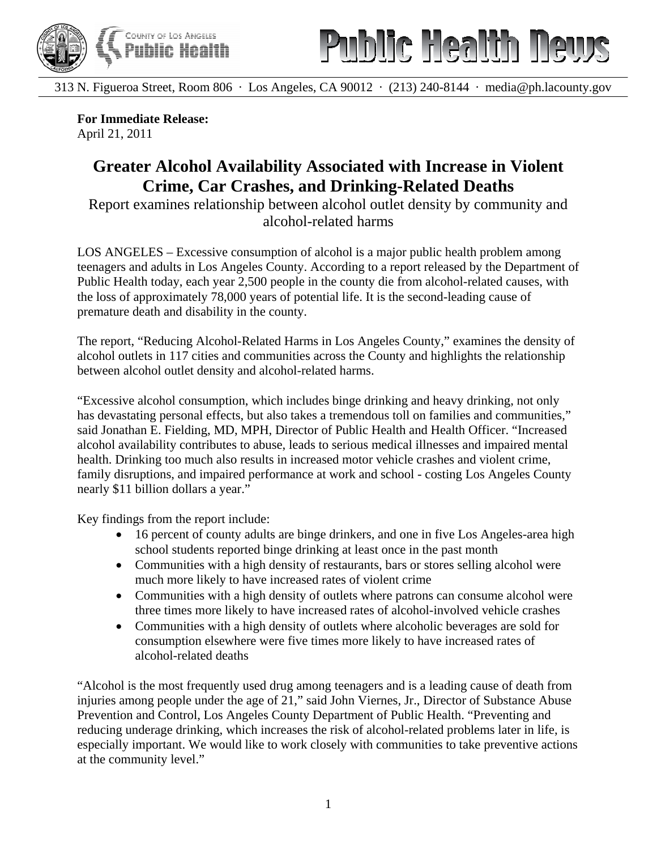



313 N. Figueroa Street, Room 806 · Los Angeles, CA 90012 · (213) 240-8144 · media@ph.lacounty.gov

**For Immediate Release:**  April 21, 2011

## **Greater Alcohol Availability Associated with Increase in Violent Crime, Car Crashes, and Drinking-Related Deaths**

Report examines relationship between alcohol outlet density by community and alcohol-related harms

LOS ANGELES – Excessive consumption of alcohol is a major public health problem among teenagers and adults in Los Angeles County. According to a report released by the Department of Public Health today, each year 2,500 people in the county die from alcohol-related causes, with the loss of approximately 78,000 years of potential life. It is the second-leading cause of premature death and disability in the county.

The report, "Reducing Alcohol-Related Harms in Los Angeles County," examines the density of alcohol outlets in 117 cities and communities across the County and highlights the relationship between alcohol outlet density and alcohol-related harms.

"Excessive alcohol consumption, which includes binge drinking and heavy drinking, not only has devastating personal effects, but also takes a tremendous toll on families and communities," said Jonathan E. Fielding, MD, MPH, Director of Public Health and Health Officer. "Increased alcohol availability contributes to abuse, leads to serious medical illnesses and impaired mental health. Drinking too much also results in increased motor vehicle crashes and violent crime, family disruptions, and impaired performance at work and school - costing Los Angeles County nearly \$11 billion dollars a year."

Key findings from the report include:

- 16 percent of county adults are binge drinkers, and one in five Los Angeles-area high school students reported binge drinking at least once in the past month
- Communities with a high density of restaurants, bars or stores selling alcohol were much more likely to have increased rates of violent crime
- Communities with a high density of outlets where patrons can consume alcohol were three times more likely to have increased rates of alcohol-involved vehicle crashes
- Communities with a high density of outlets where alcoholic beverages are sold for consumption elsewhere were five times more likely to have increased rates of alcohol-related deaths

"Alcohol is the most frequently used drug among teenagers and is a leading cause of death from injuries among people under the age of 21," said John Viernes, Jr., Director of Substance Abuse Prevention and Control, Los Angeles County Department of Public Health. "Preventing and reducing underage drinking, which increases the risk of alcohol-related problems later in life, is especially important. We would like to work closely with communities to take preventive actions at the community level."